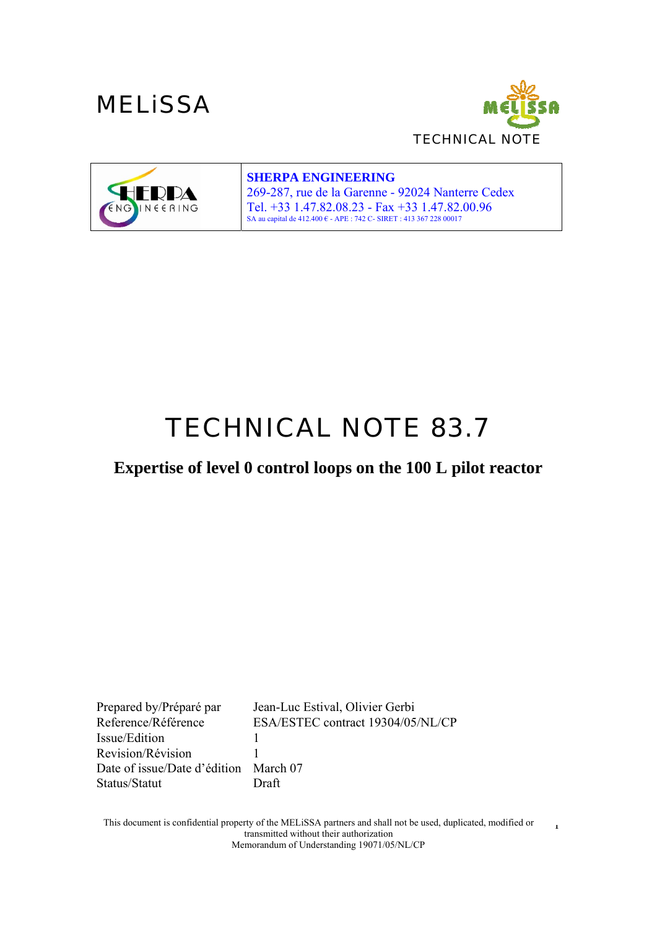

1



#### **SHERPA ENGINEERING**

269-287, rue de la Garenne - 92024 Nanterre Cedex Tel. +33 1.47.82.08.23 - Fax +33 1.47.82.00.96<br>SA au capital de 412.400 € - APE : 742 C- SIRET : 413 367 228 00017

# *TECHNICAL NOTE 83.7*

**Expertise of level 0 control loops on the 100 L pilot reactor**

Prepared by/Préparé par Jean-Luc Estival, Olivier Gerbi Reference/Référence ESA/ESTEC contract 19304/05/NL/CP Issue/Edition 1 Revision/Révision 1 Date of issue/Date d'édition March 07 Status/Statut Draft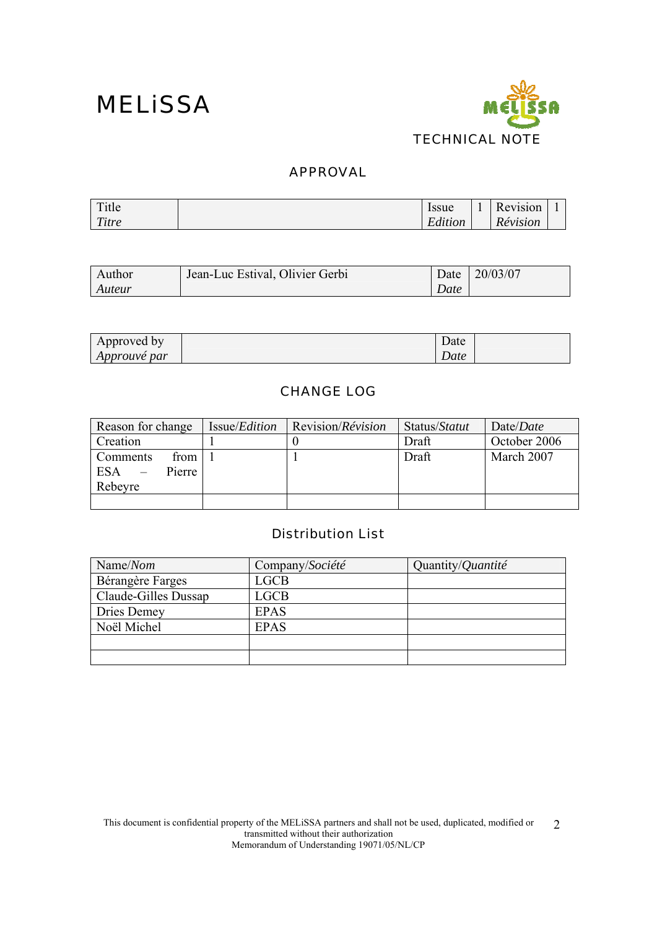

#### APPROVAL

| Title | Issue   |  | Revision |  |
|-------|---------|--|----------|--|
| Titre | Edition |  | Révision |  |

| Author | Jean-Luc Estival, Olivier Gerbi | Date | 20/03/07 |
|--------|---------------------------------|------|----------|
| Auteur |                                 | Date |          |

| Approved by         | $\sqrt{ }$ | Date |  |
|---------------------|------------|------|--|
| <i>Approuvé par</i> |            | Date |  |

#### CHANGE LOG

| Reason for change                                   | Issue/ <i>Edition</i> | Revision/ <i>Révision</i> | Status/Statut | Date/ <i>Date</i> |
|-----------------------------------------------------|-----------------------|---------------------------|---------------|-------------------|
| Creation                                            |                       |                           | Draft         | October 2006      |
| from<br>Comments<br>Pierre<br><b>ESA</b><br>Rebeyre |                       |                           | Draft         | March 2007        |
|                                                     |                       |                           |               |                   |

#### Distribution List

| Name/Nom             | Company/Société | Quantity/Quantité |
|----------------------|-----------------|-------------------|
| Bérangère Farges     | LGCB            |                   |
| Claude-Gilles Dussap | <b>LGCB</b>     |                   |
| Dries Demey          | <b>EPAS</b>     |                   |
| Noël Michel          | <b>EPAS</b>     |                   |
|                      |                 |                   |
|                      |                 |                   |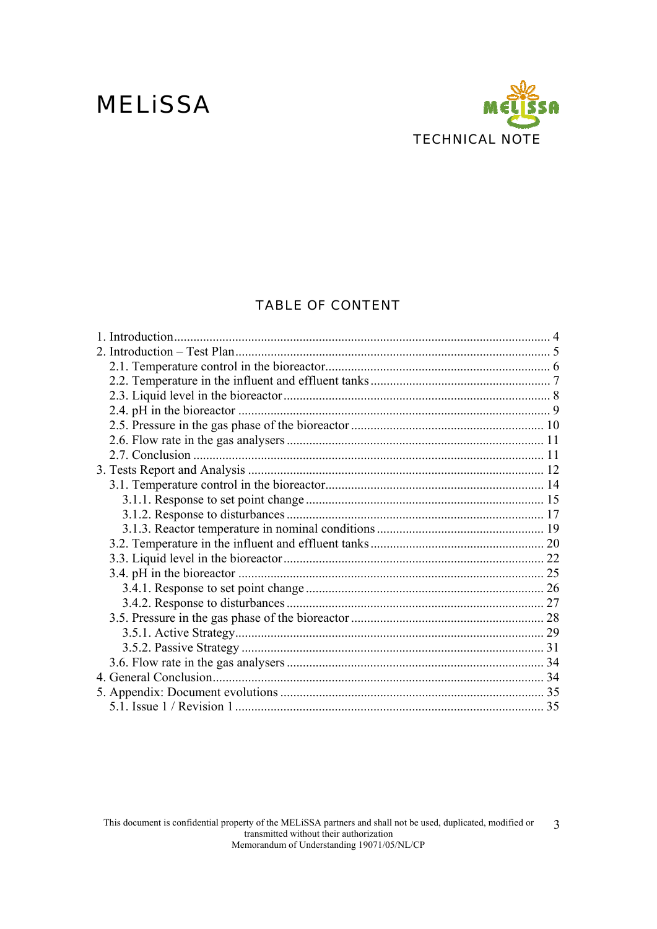### **MELISSA**



#### **TABLE OF CONTENT**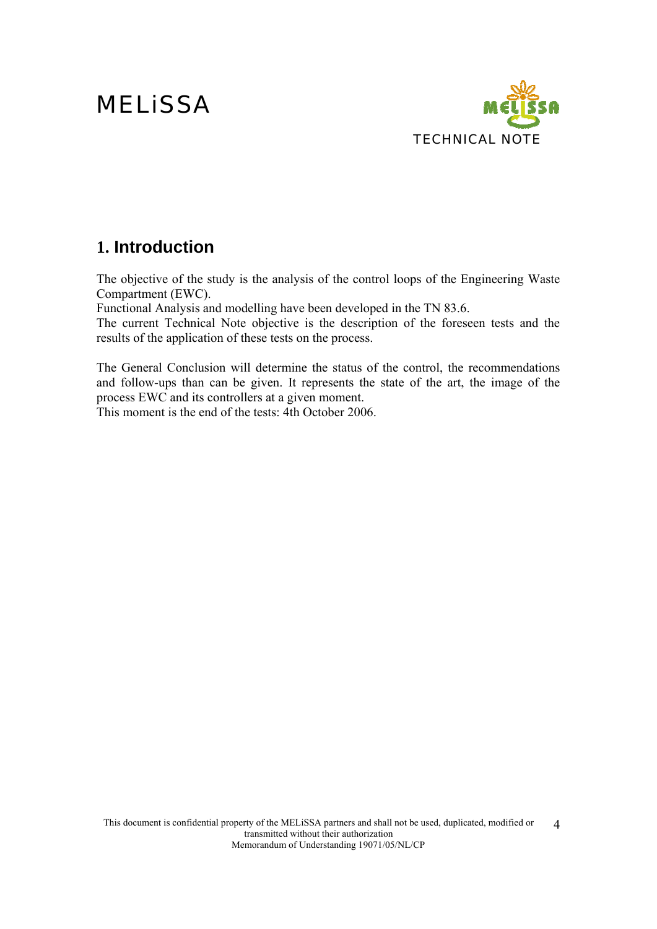

### **1. Introduction**

The objective of the study is the analysis of the control loops of the Engineering Waste Compartment (EWC).

Functional Analysis and modelling have been developed in the TN 83.6.

The current Technical Note objective is the description of the foreseen tests and the results of the application of these tests on the process.

The General Conclusion will determine the status of the control, the recommendations and follow-ups than can be given. It represents the state of the art, the image of the process EWC and its controllers at a given moment.

This moment is the end of the tests: 4th October 2006.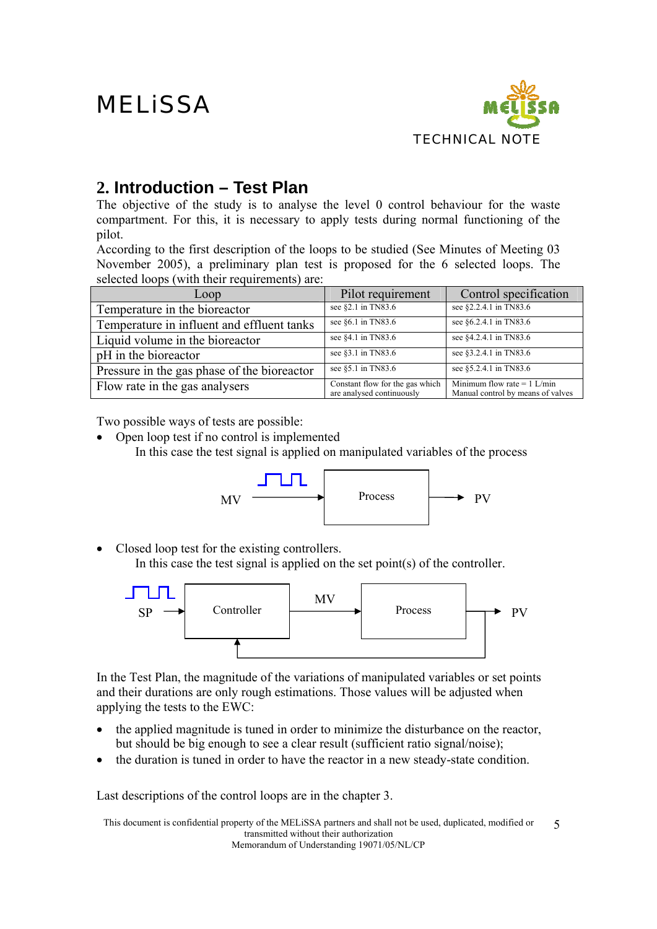

### **2. Introduction – Test Plan**

The objective of the study is to analyse the level 0 control behaviour for the waste compartment. For this, it is necessary to apply tests during normal functioning of the pilot.

According to the first description of the loops to be studied (See Minutes of Meeting 03 November 2005), a preliminary plan test is proposed for the 6 selected loops. The selected loops (with their requirements) are:

| Loop                                        | Pilot requirement                                            | Control specification                                              |
|---------------------------------------------|--------------------------------------------------------------|--------------------------------------------------------------------|
| Temperature in the bioreactor               | see §2.1 in TN83.6                                           | see §2.2.4.1 in TN83.6                                             |
| Temperature in influent and effluent tanks  | see §6.1 in TN83.6                                           | see §6.2.4.1 in TN83.6                                             |
| Liquid volume in the bioreactor             | see §4.1 in TN83.6                                           | see §4.2.4.1 in TN83.6                                             |
| pH in the bioreactor                        | see §3.1 in TN83.6                                           | see §3.2.4.1 in TN83.6                                             |
| Pressure in the gas phase of the bioreactor | see §5.1 in TN83.6                                           | see §5.2.4.1 in TN83.6                                             |
| Flow rate in the gas analysers              | Constant flow for the gas which<br>are analysed continuously | Minimum flow rate = $1$ L/min<br>Manual control by means of valves |

Two possible ways of tests are possible:

• Open loop test if no control is implemented In this case the test signal is applied on manipulated variables of the process



• Closed loop test for the existing controllers. In this case the test signal is applied on the set point(s) of the controller.



In the Test Plan, the magnitude of the variations of manipulated variables or set points and their durations are only rough estimations. Those values will be adjusted when applying the tests to the EWC:

- the applied magnitude is tuned in order to minimize the disturbance on the reactor, but should be big enough to see a clear result (sufficient ratio signal/noise);
- the duration is tuned in order to have the reactor in a new steady-state condition.

Last descriptions of the control loops are in the chapter 3.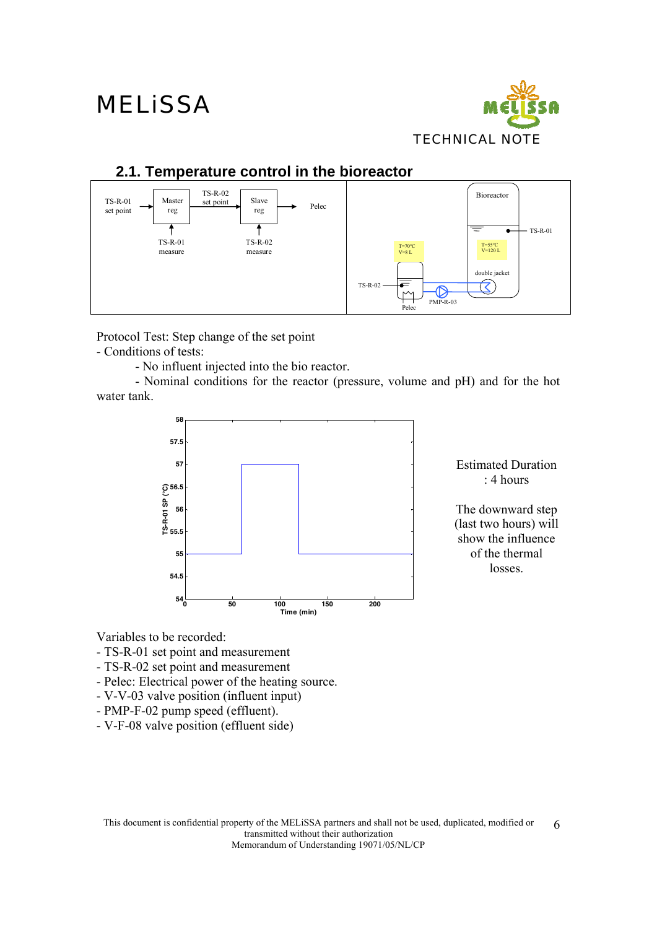

### **2.1. Temperature control in the bioreactor**



Protocol Test: Step change of the set point - Conditions of tests:

- No influent injected into the bio reactor.

 - Nominal conditions for the reactor (pressure, volume and pH) and for the hot water tank.



Estimated Duration : 4 hours

The downward step (last two hours) will show the influence of the thermal losses.

Variables to be recorded:

- TS-R-01 set point and measurement
- TS-R-02 set point and measurement
- Pelec: Electrical power of the heating source.
- V-V-03 valve position (influent input)
- PMP-F-02 pump speed (effluent).
- V-F-08 valve position (effluent side)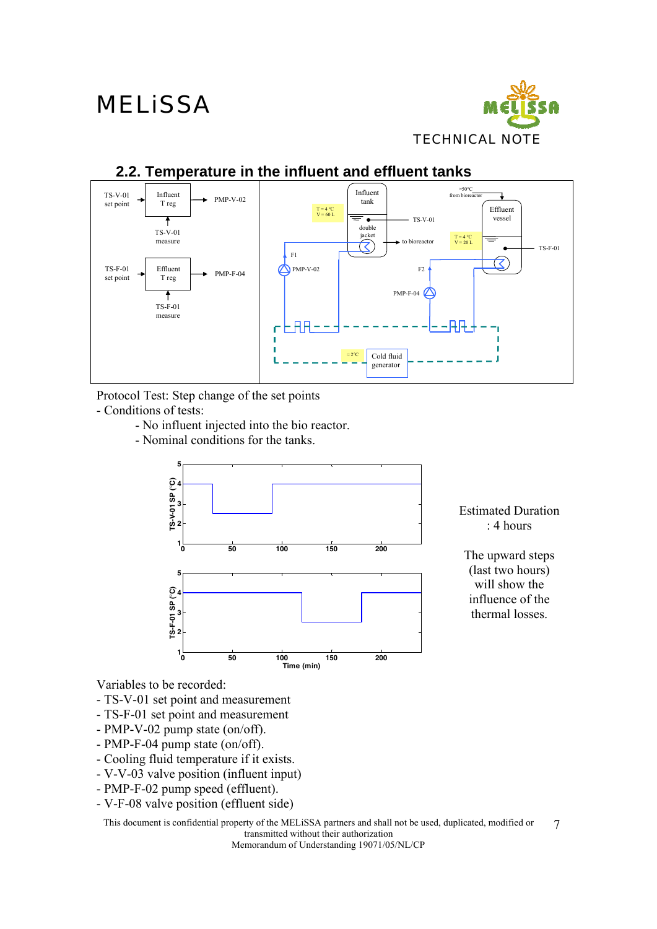

### **2.2. Temperature in the influent and effluent tanks**



Protocol Test: Step change of the set points

- Conditions of tests:

- No influent injected into the bio reactor.
- Nominal conditions for the tanks.



Estimated Duration : 4 hours

The upward steps (last two hours) will show the influence of the thermal losses.

Variables to be recorded:

- TS-V-01 set point and measurement
- TS-F-01 set point and measurement
- PMP-V-02 pump state (on/off).
- PMP-F-04 pump state (on/off).
- Cooling fluid temperature if it exists.
- V-V-03 valve position (influent input)
- PMP-F-02 pump speed (effluent).

- V-F-08 valve position (effluent side)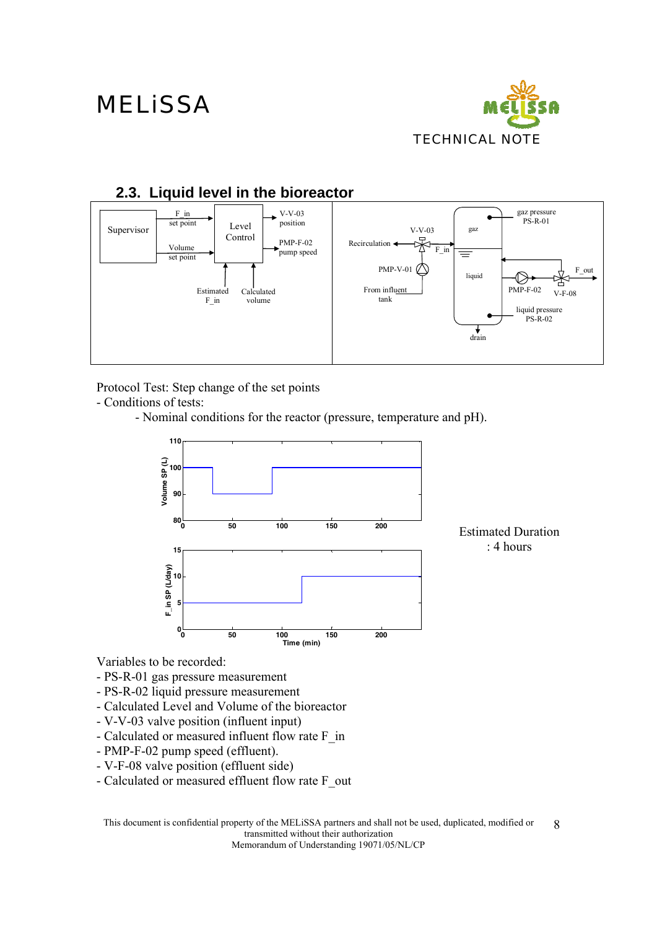



Protocol Test: Step change of the set points

- Conditions of tests:
	- Nominal conditions for the reactor (pressure, temperature and pH).



Estimated Duration : 4 hours

Variables to be recorded:

- PS-R-01 gas pressure measurement
- PS-R-02 liquid pressure measurement
- Calculated Level and Volume of the bioreactor
- V-V-03 valve position (influent input)
- Calculated or measured influent flow rate F\_in
- PMP-F-02 pump speed (effluent).
- V-F-08 valve position (effluent side)
- Calculated or measured effluent flow rate F\_out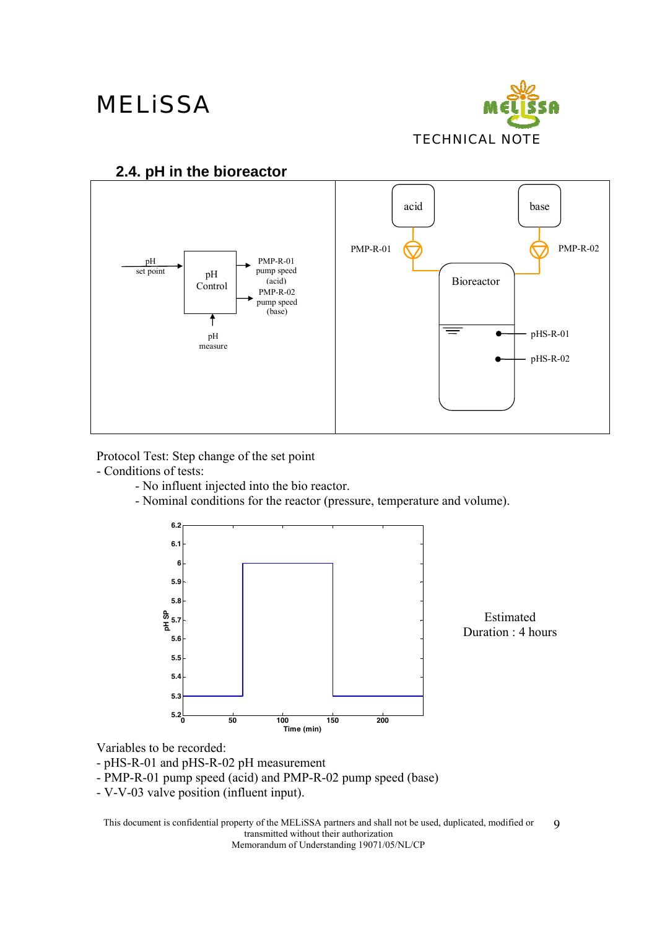

#### **2.4. pH in the bioreactor**



Protocol Test: Step change of the set point

- Conditions of tests:
	- No influent injected into the bio reactor.
	- Nominal conditions for the reactor (pressure, temperature and volume).



Estimated Duration : 4 hours

Variables to be recorded:

- pHS-R-01 and pHS-R-02 pH measurement
- PMP-R-01 pump speed (acid) and PMP-R-02 pump speed (base)
- V-V-03 valve position (influent input).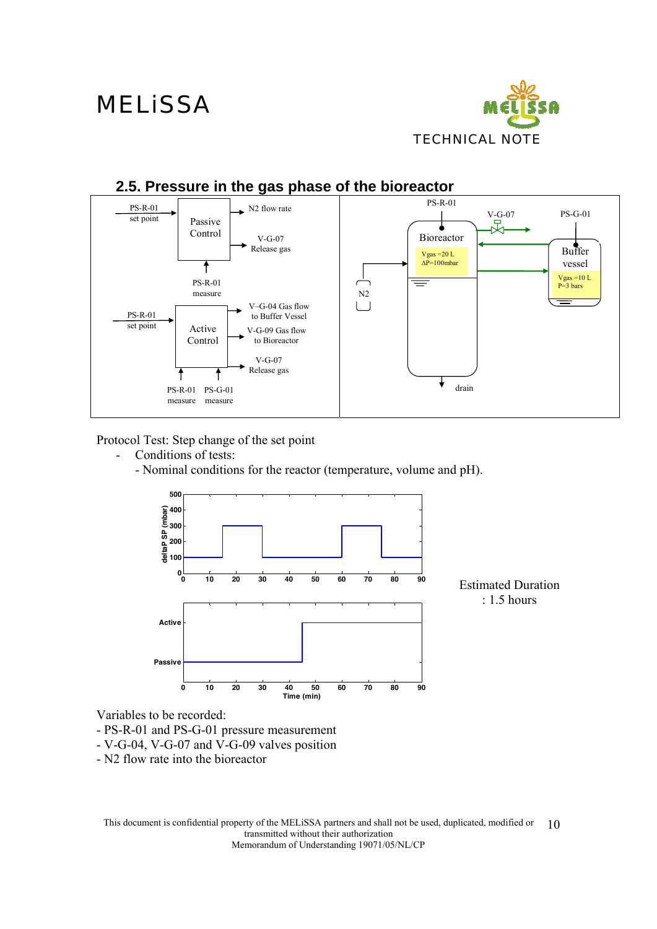

#### **2.5. Pressure in the gas phase of the bioreactor**  PS-R-01 PS-R-01 N2 flow rate  $V-G-07$ <br> $\neg$ PS-G-01 set point Passive ۸ Control V-G-07 Bioreactor Release gas Buffer Vgas =20 L  $\Delta P = 100$ mbar vessel ₹  $\overline{\overline{\phantom{a}}}\hspace{0.1cm}$ Vgas =10 L P=3 bars PS-R-01 measure N2 V–G-04 Gas flow  $\Box$ PS-R-01 to Buffer Vessel set point Active V-G-09 Gas flow Control to Bioreactor V-G-07 Release gas drain PS-R-01 PS-G-01 measure measure

Protocol Test: Step change of the set point

- Conditions of tests:
	- Nominal conditions for the reactor (temperature, volume and pH).



Variables to be recorded:

- PS-R-01 and PS-G-01 pressure measurement

- V-G-04, V-G-07 and V-G-09 valves position
- N2 flow rate into the bioreactor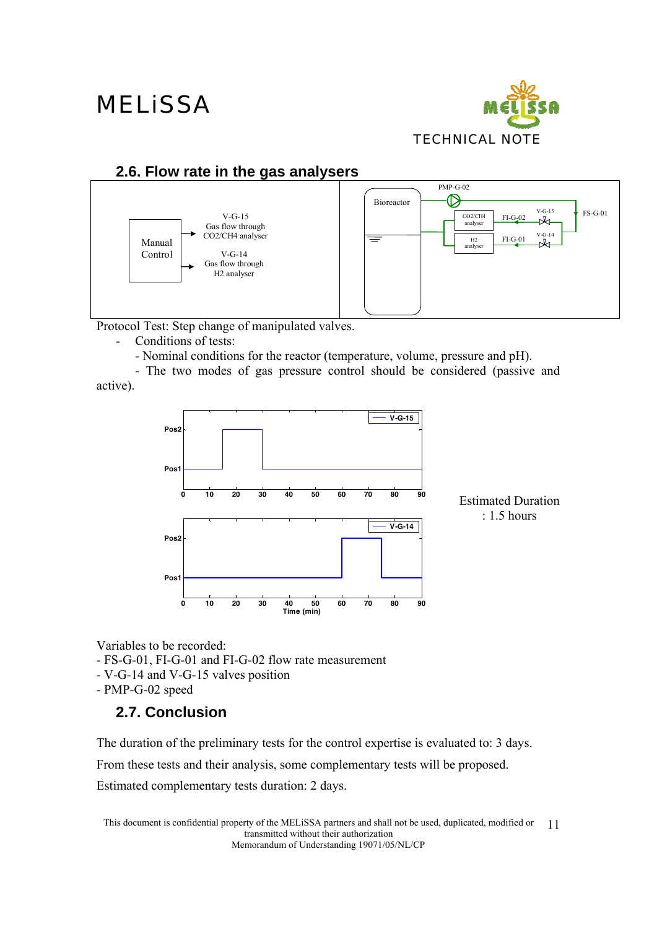

### **2.6. Flow rate in the gas analysers**



Protocol Test: Step change of manipulated valves.

- Conditions of tests:

- Nominal conditions for the reactor (temperature, volume, pressure and pH).

- The two modes of gas pressure control should be considered (passive and active).



Estimated Duration : 1.5 hours

Variables to be recorded:

- FS-G-01, FI-G-01 and FI-G-02 flow rate measurement
- V-G-14 and V-G-15 valves position
- PMP-G-02 speed

### **2.7. Conclusion**

The duration of the preliminary tests for the control expertise is evaluated to: 3 days.

From these tests and their analysis, some complementary tests will be proposed.

Estimated complementary tests duration: 2 days.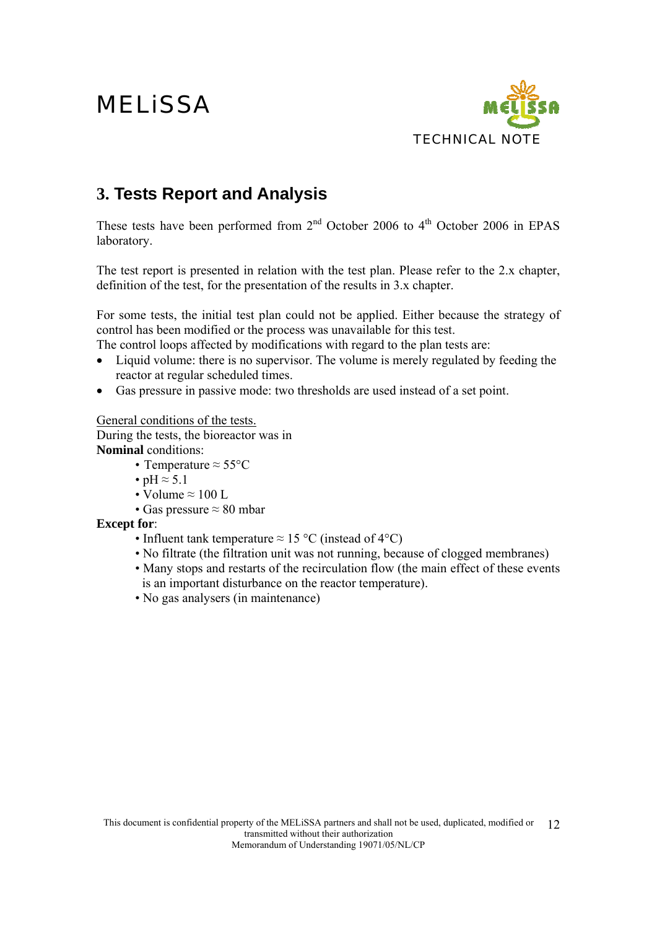

### **3. Tests Report and Analysis**

These tests have been performed from  $2<sup>nd</sup>$  October 2006 to  $4<sup>th</sup>$  October 2006 in EPAS laboratory.

The test report is presented in relation with the test plan. Please refer to the 2.x chapter, definition of the test, for the presentation of the results in 3.x chapter.

For some tests, the initial test plan could not be applied. Either because the strategy of control has been modified or the process was unavailable for this test.

The control loops affected by modifications with regard to the plan tests are:

- Liquid volume: there is no supervisor. The volume is merely regulated by feeding the reactor at regular scheduled times.
- Gas pressure in passive mode: two thresholds are used instead of a set point.

General conditions of the tests.

During the tests, the bioreactor was in **Nominal** conditions:

- Temperature  $\approx 55^{\circ}$ C
- pH  $\approx$  5.1
- Volume  $\approx 100$  L
- Gas pressure  $\approx 80$  mbar

#### **Except for**:

- Influent tank temperature  $\approx 15 \degree C$  (instead of 4 $\degree C$ )
- No filtrate (the filtration unit was not running, because of clogged membranes)
- Many stops and restarts of the recirculation flow (the main effect of these events is an important disturbance on the reactor temperature).
- No gas analysers (in maintenance)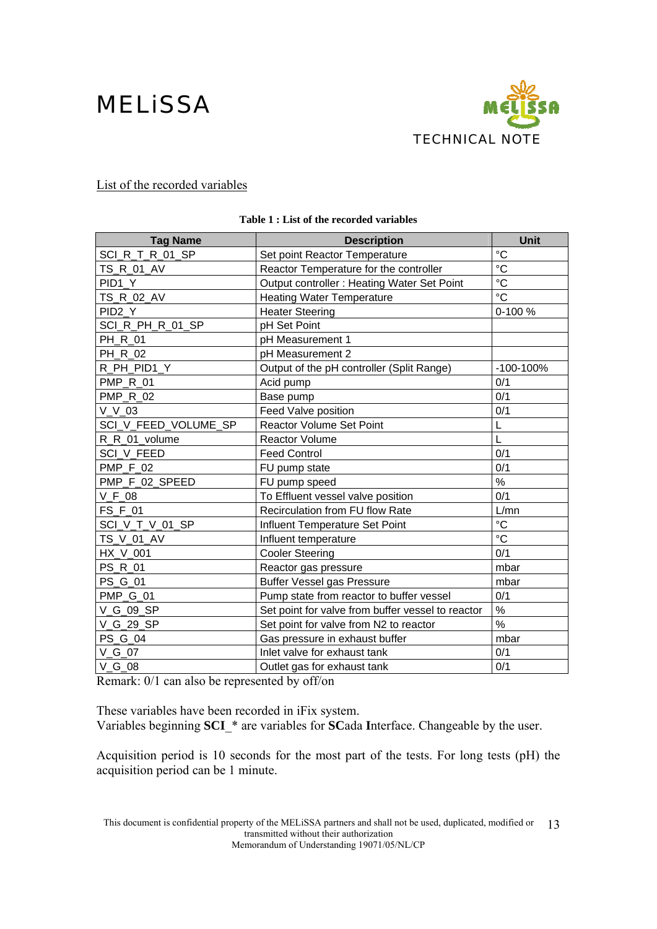

#### List of the recorded variables

| <b>Tag Name</b>      | <b>Description</b>                                | Unit            |
|----------------------|---------------------------------------------------|-----------------|
| SCI_R_T_R_01_SP      | Set point Reactor Temperature                     | $\rm ^{\circ}C$ |
| TS_R_01_AV           | Reactor Temperature for the controller            | $\rm ^{\circ}C$ |
| PID <sub>1</sub> Y   | Output controller : Heating Water Set Point       | °C              |
| TS_R_02_AV           | <b>Heating Water Temperature</b>                  | $\rm ^{\circ}C$ |
| PID <sub>2</sub> Y   | <b>Heater Steering</b>                            | 0-100 %         |
| SCI_R_PH_R_01_SP     | pH Set Point                                      |                 |
| PH_R_01              | pH Measurement 1                                  |                 |
| PH_R_02              | pH Measurement 2                                  |                 |
| R PH PID1 Y          | Output of the pH controller (Split Range)         | $-100-100%$     |
| PMP_R_01             | Acid pump                                         | 0/1             |
| <b>PMP R 02</b>      | Base pump                                         | 0/1             |
| V V 03               | Feed Valve position                               | 0/1             |
| SCI_V_FEED_VOLUME_SP | <b>Reactor Volume Set Point</b>                   | L               |
| R R 01 volume        | <b>Reactor Volume</b>                             | L               |
| SCI V FEED           | <b>Feed Control</b>                               | 0/1             |
| <b>PMP_F_02</b>      | FU pump state                                     | 0/1             |
| PMP F 02 SPEED       | FU pump speed                                     | %               |
| $V_F_08$             | To Effluent vessel valve position                 | 0/1             |
| FS F 01              | Recirculation from FU flow Rate                   | L/mn            |
| SCI V T V 01 SP      | Influent Temperature Set Point                    | $\rm ^{\circ}C$ |
| TS_V_01_AV           | Influent temperature                              | $\rm ^{\circ}C$ |
| HX V 001             | <b>Cooler Steering</b>                            | 0/1             |
| PS R 01              | Reactor gas pressure                              | mbar            |
| PS G 01              | <b>Buffer Vessel gas Pressure</b>                 | mbar            |
| <b>PMP G 01</b>      | Pump state from reactor to buffer vessel          | 0/1             |
| V_G_09_SP            | Set point for valve from buffer vessel to reactor | %               |
| V G 29 SP            | Set point for valve from N2 to reactor            | $\frac{0}{0}$   |
| PS_G_04              | Gas pressure in exhaust buffer                    | mbar            |
| $V_G_0$              | Inlet valve for exhaust tank                      | 0/1             |
| $V_G_08$             | Outlet gas for exhaust tank                       | 0/1             |

#### **Table 1 : List of the recorded variables**

Remark: 0/1 can also be represented by off/on

These variables have been recorded in iFix system.

Variables beginning **SCI**\_\* are variables for **SC**ada **I**nterface. Changeable by the user.

Acquisition period is 10 seconds for the most part of the tests. For long tests (pH) the acquisition period can be 1 minute.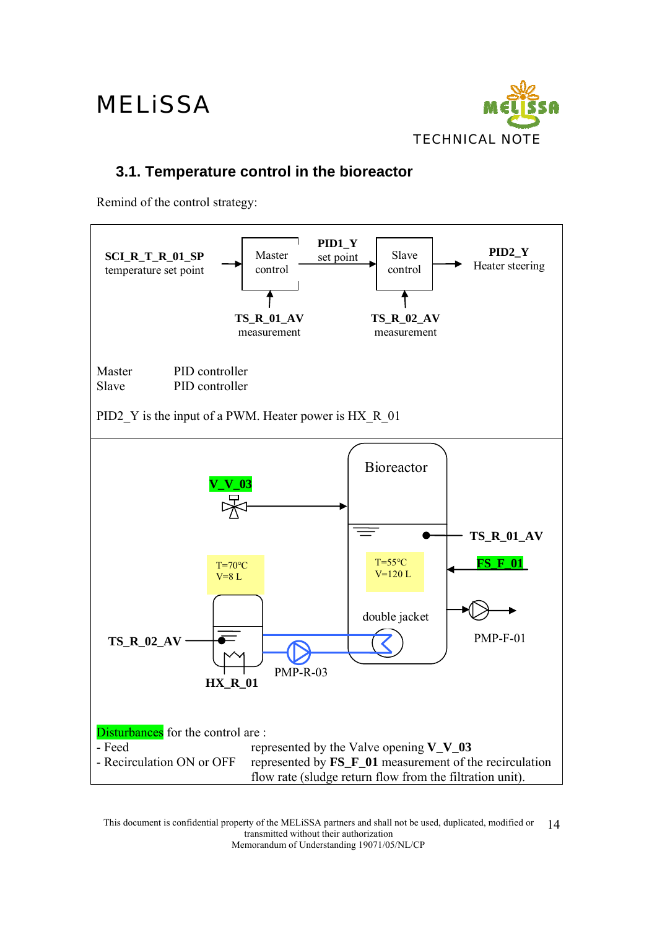

### **3.1. Temperature control in the bioreactor**

Remind of the control strategy:

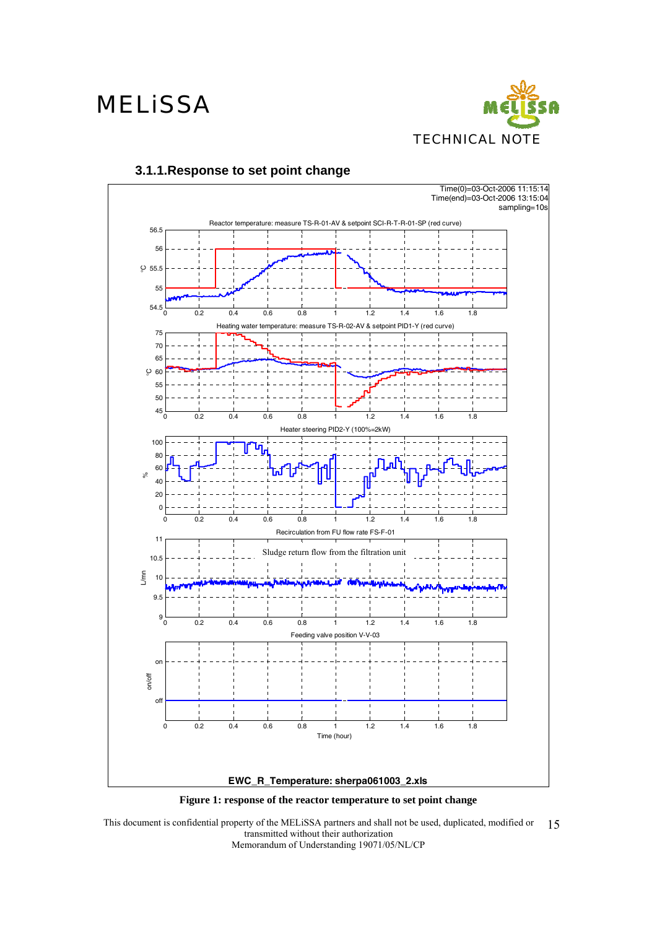



#### **3.1.1.Response to set point change**

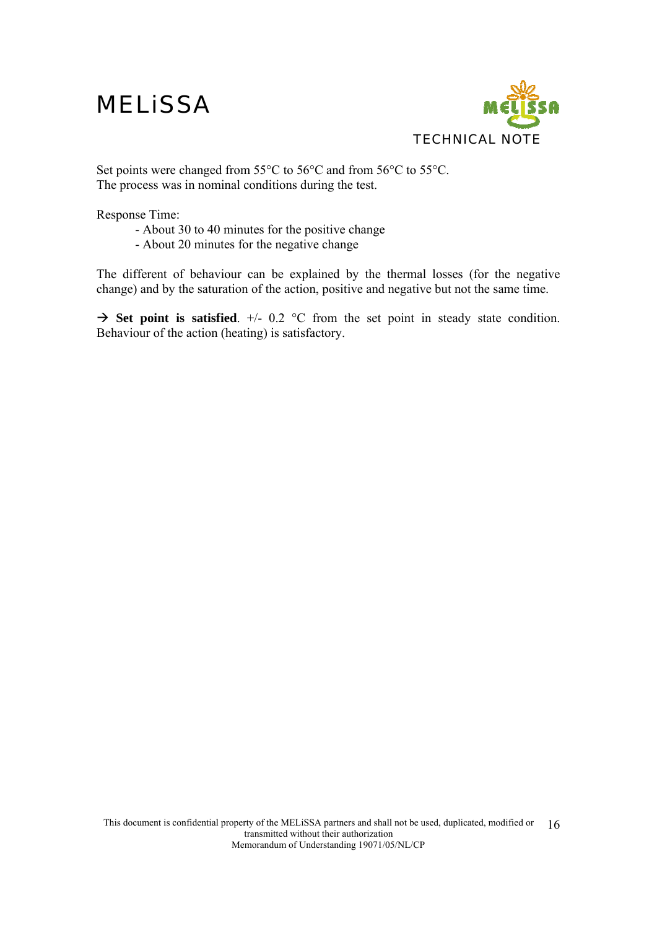

Set points were changed from 55°C to 56°C and from 56°C to 55°C. The process was in nominal conditions during the test.

Response Time:

- About 30 to 40 minutes for the positive change
- About 20 minutes for the negative change

The different of behaviour can be explained by the thermal losses (for the negative change) and by the saturation of the action, positive and negative but not the same time.

 $\rightarrow$  Set point is satisfied.  $\pm$ /- 0.2 °C from the set point in steady state condition. Behaviour of the action (heating) is satisfactory.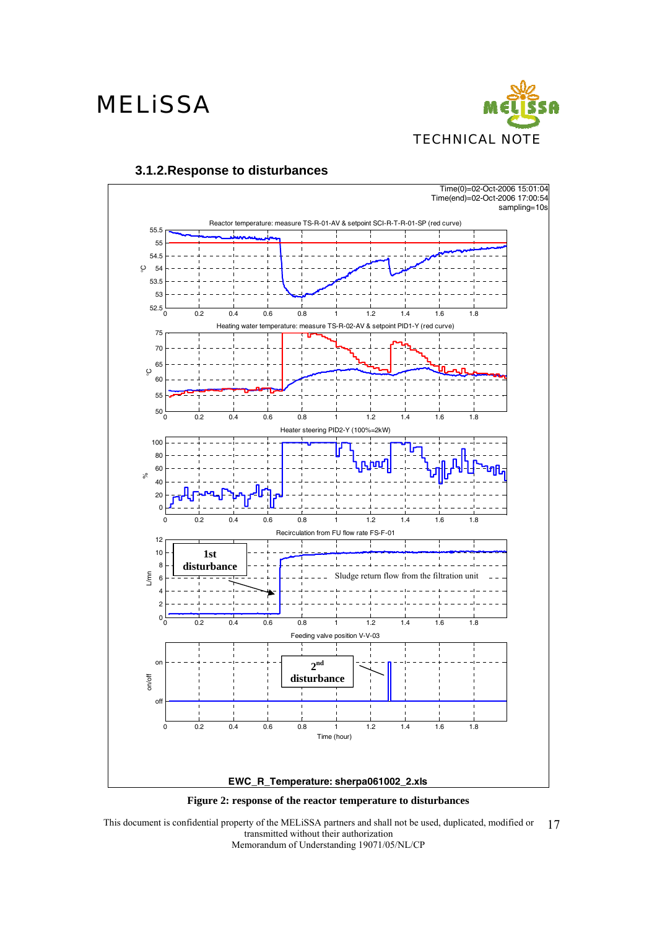



#### **3.1.2.Response to disturbances**

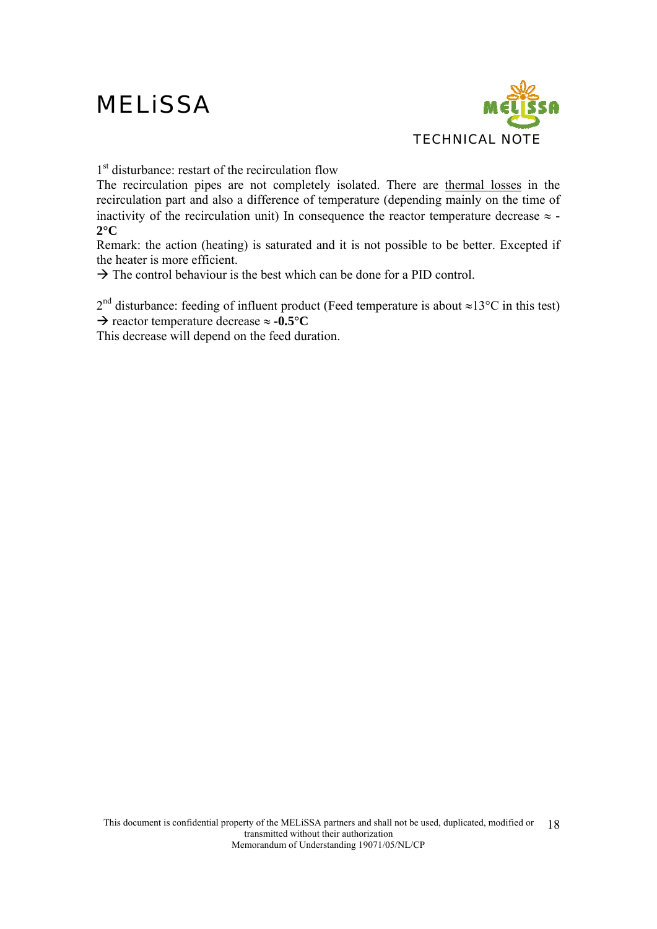

1<sup>st</sup> disturbance: restart of the recirculation flow

The recirculation pipes are not completely isolated. There are thermal losses in the recirculation part and also a difference of temperature (depending mainly on the time of inactivity of the recirculation unit) In consequence the reactor temperature decrease  $\approx$   $\sim$ **2°C** 

Remark: the action (heating) is saturated and it is not possible to be better. Excepted if the heater is more efficient.

 $\rightarrow$  The control behaviour is the best which can be done for a PID control.

 $2<sup>nd</sup>$  disturbance: feeding of influent product (Feed temperature is about ≈13°C in this test)

Æ reactor temperature decrease ≈ **-0.5°C**

This decrease will depend on the feed duration.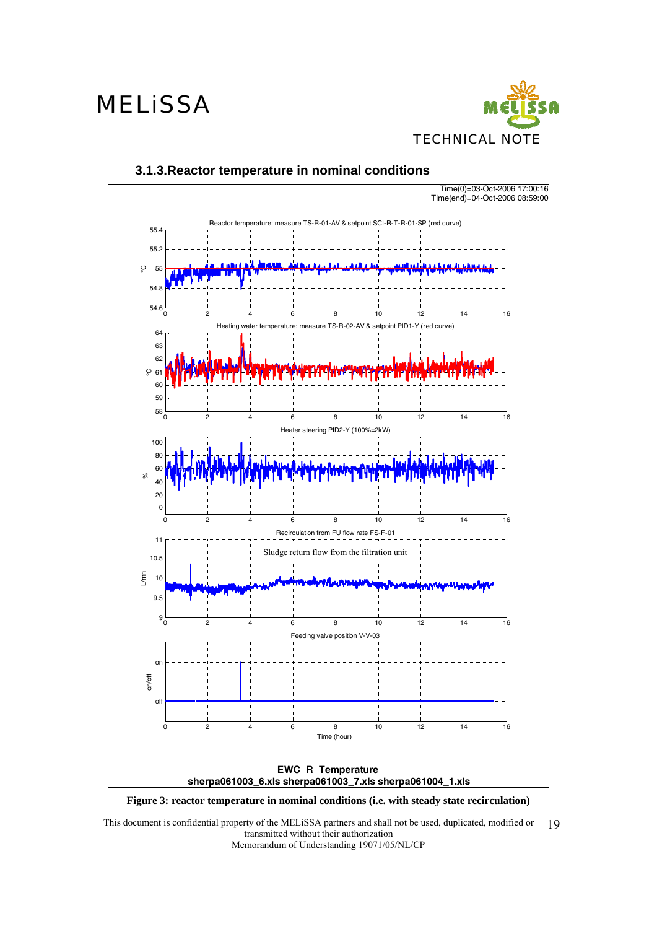### **MELISSA**





#### **3.1.3.Reactor temperature in nominal conditions**

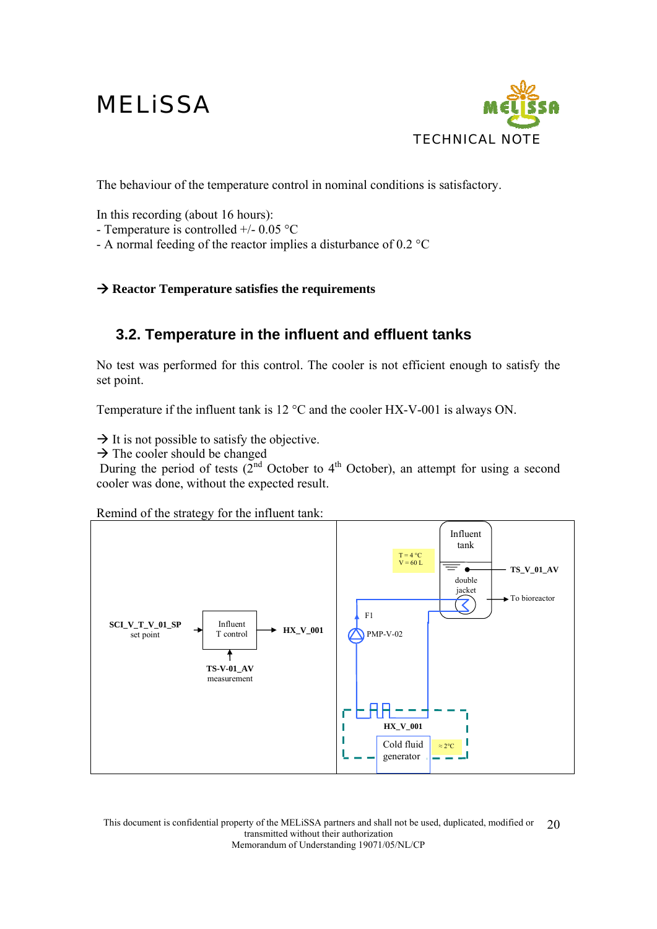

The behaviour of the temperature control in nominal conditions is satisfactory.

In this recording (about 16 hours):

- Temperature is controlled +/- 0.05 °C

- A normal feeding of the reactor implies a disturbance of 0.2 °C

#### $→$  **Reactor Temperature satisfies the requirements**

### **3.2. Temperature in the influent and effluent tanks**

No test was performed for this control. The cooler is not efficient enough to satisfy the set point.

Temperature if the influent tank is 12 °C and the cooler HX-V-001 is always ON.

 $\rightarrow$  It is not possible to satisfy the objective.

 $\rightarrow$  The cooler should be changed

During the period of tests  $(2<sup>nd</sup>$  October to  $4<sup>th</sup>$  October), an attempt for using a second cooler was done, without the expected result.

Remind of the strategy for the influent tank:

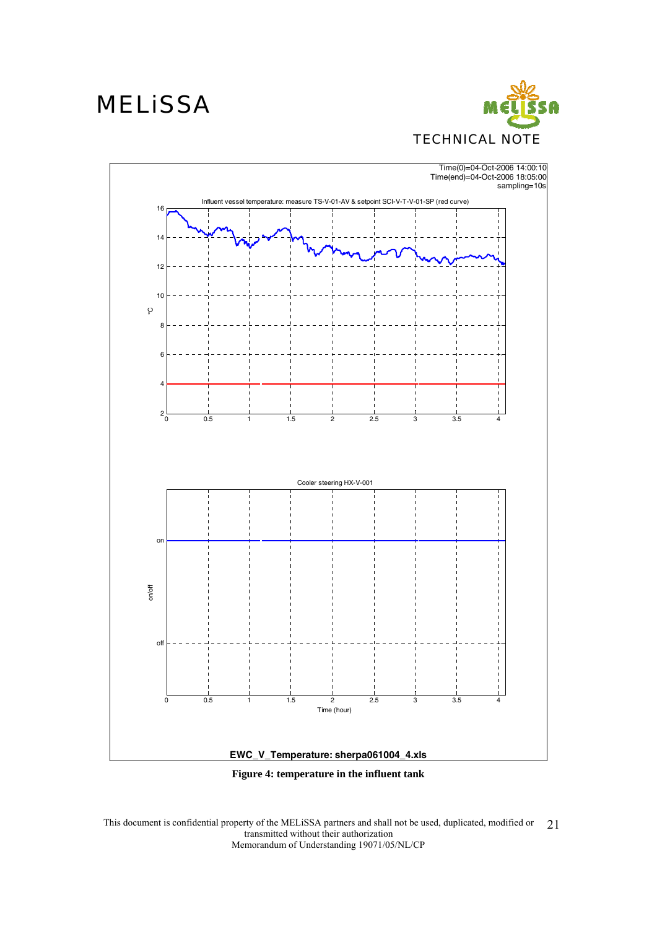

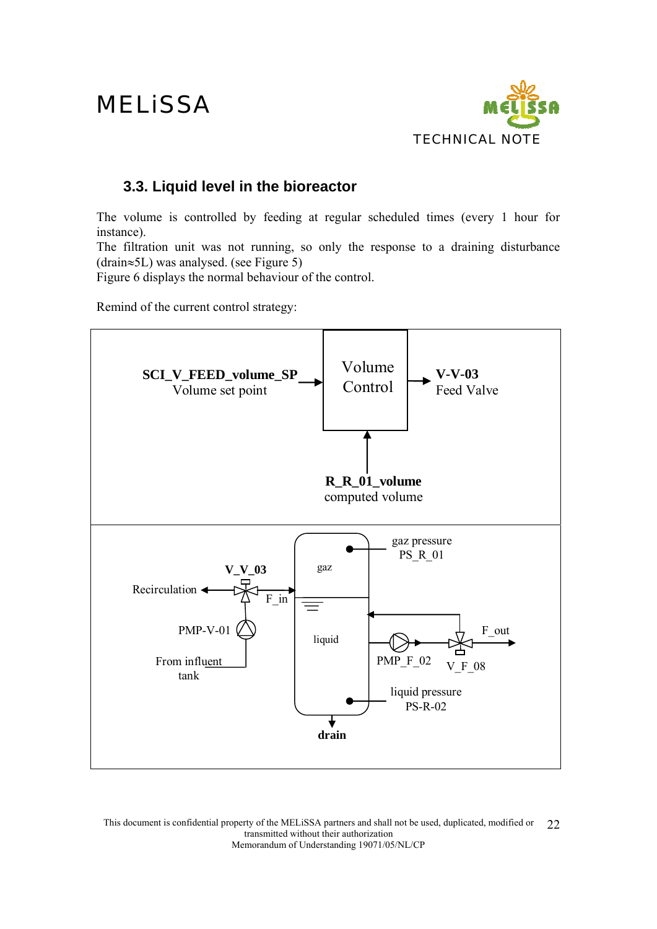

### **3.3. Liquid level in the bioreactor**

The volume is controlled by feeding at regular scheduled times (every 1 hour for instance).

The filtration unit was not running, so only the response to a draining disturbance (drain≈5L) was analysed. (see Figure 5)

Figure 6 displays the normal behaviour of the control.

Remind of the current control strategy:

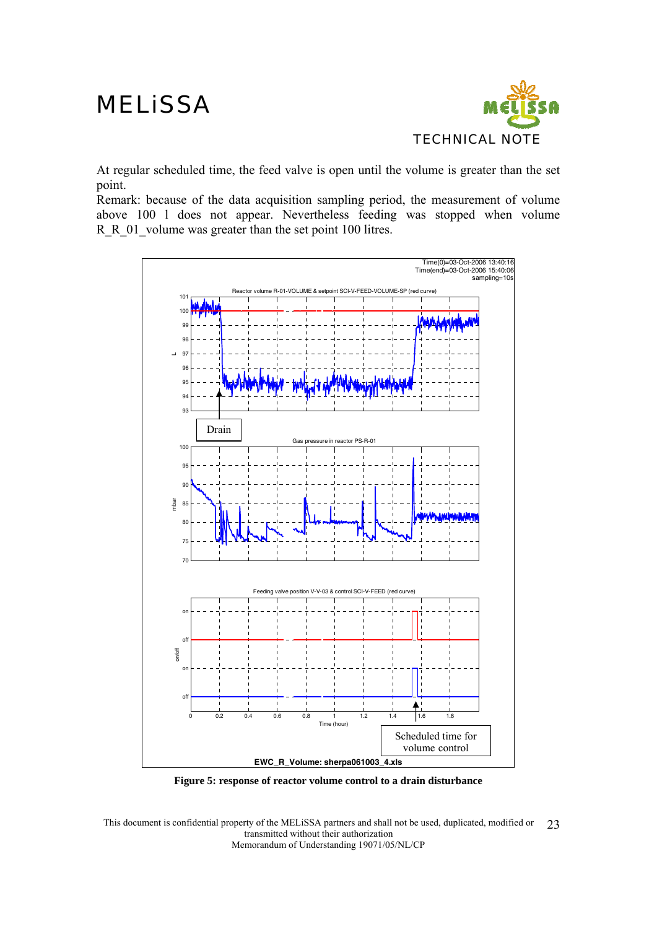

At regular scheduled time, the feed valve is open until the volume is greater than the set point.

Remark: because of the data acquisition sampling period, the measurement of volume above 100 l does not appear. Nevertheless feeding was stopped when volume R R 01 volume was greater than the set point 100 litres.



**Figure 5: response of reactor volume control to a drain disturbance**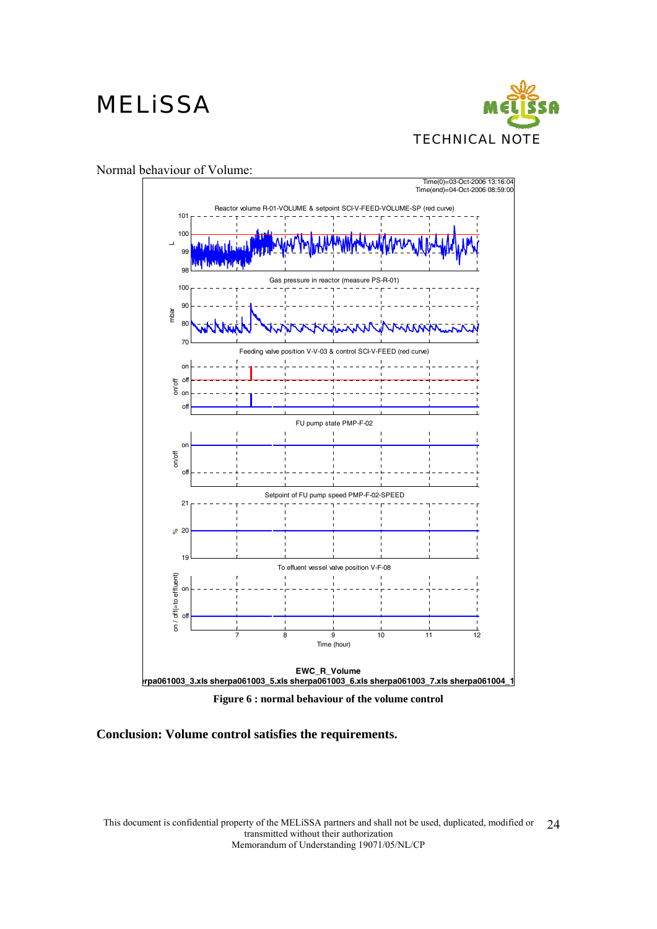



**Figure 6 : normal behaviour of the volume control** 

**Conclusion: Volume control satisfies the requirements.**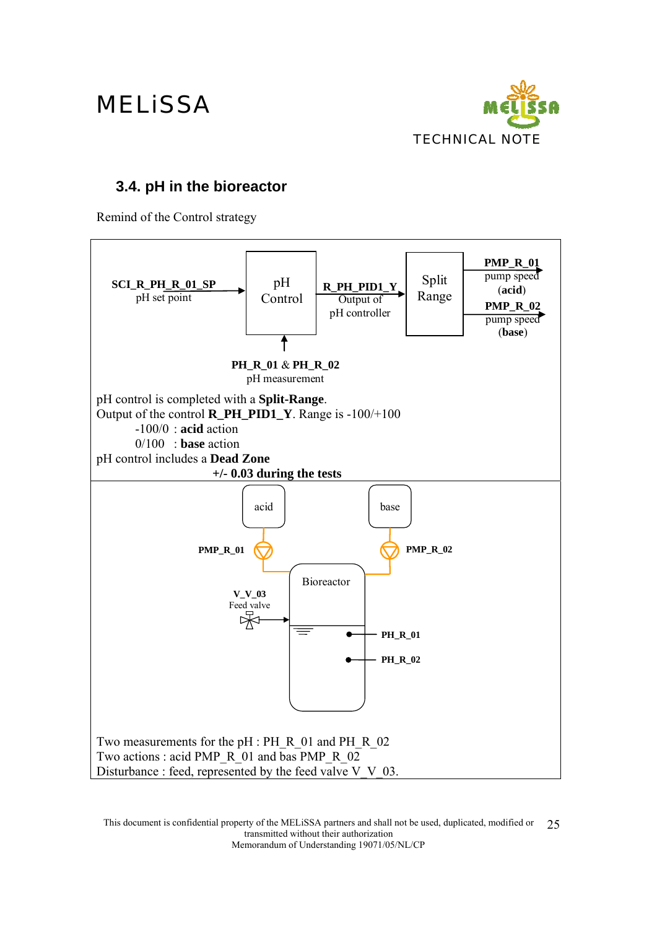

### **3.4. pH in the bioreactor**

Remind of the Control strategy

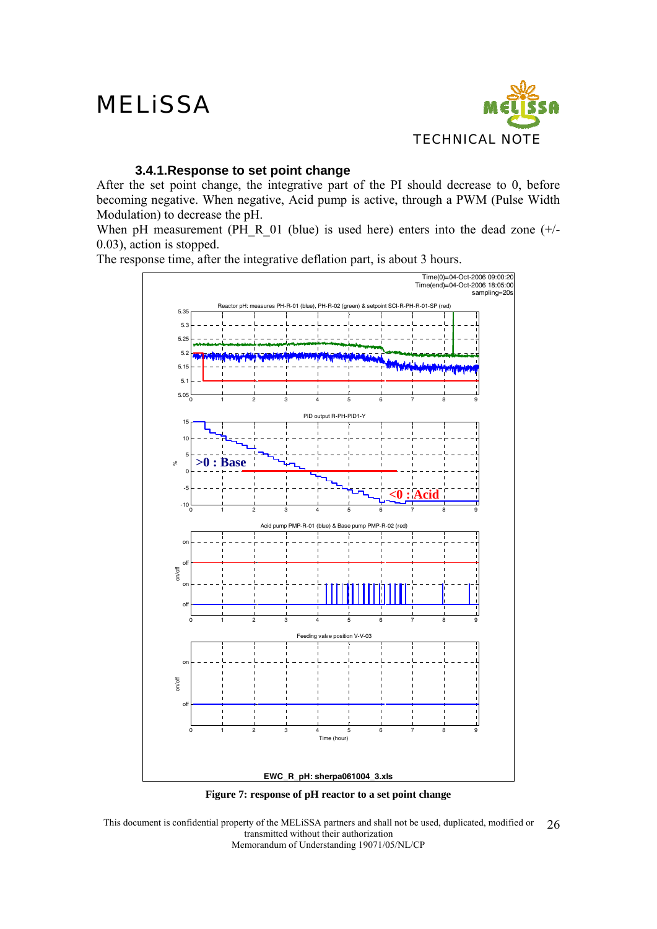

#### **3.4.1.Response to set point change**

After the set point change, the integrative part of the PI should decrease to 0, before becoming negative. When negative, Acid pump is active, through a PWM (Pulse Width Modulation) to decrease the pH.

When pH measurement (PH\_R\_01 (blue) is used here) enters into the dead zone (+/-0.03), action is stopped.

The response time, after the integrative deflation part, is about 3 hours.



**Figure 7: response of pH reactor to a set point change**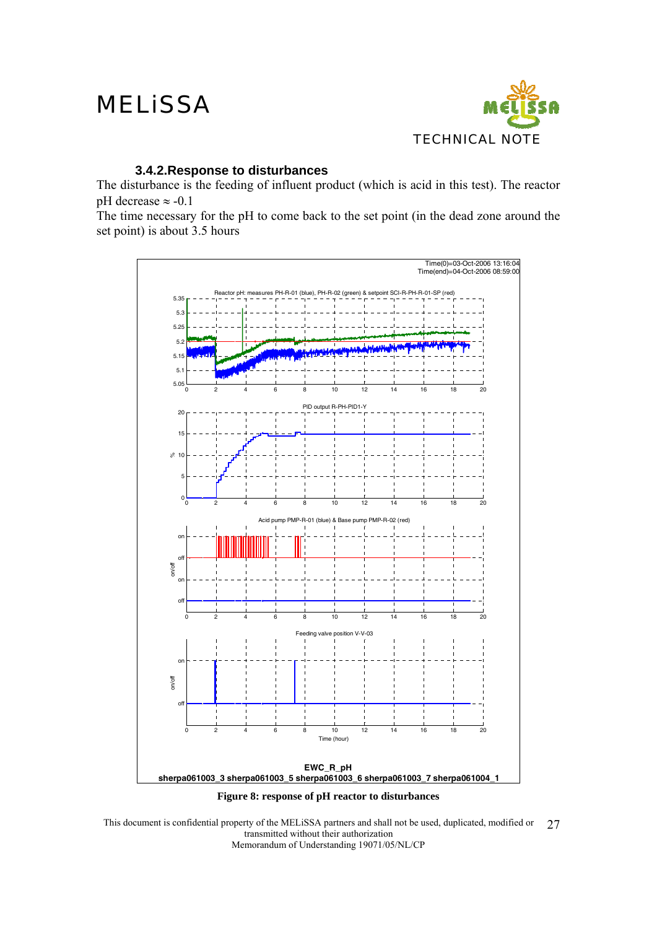

#### **3.4.2.Response to disturbances**

The disturbance is the feeding of influent product (which is acid in this test). The reactor pH decrease  $\approx$  -0.1

The time necessary for the pH to come back to the set point (in the dead zone around the set point) is about 3.5 hours



This document is confidential property of the MELiSSA partners and shall not be used, duplicated, modified or transmitted without their authorization Memorandum of Understanding 19071/05/NL/CP 27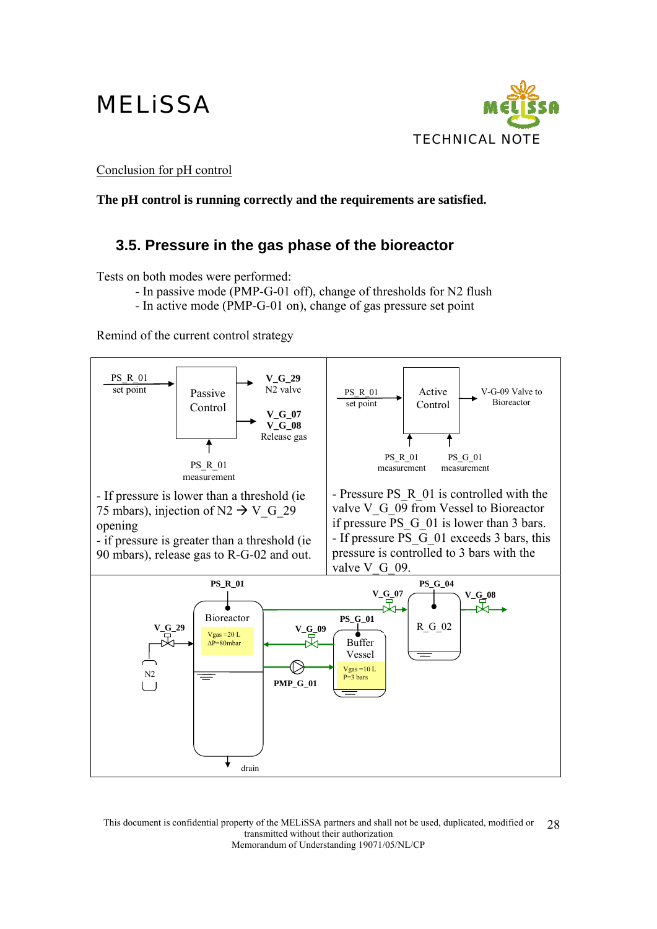

Conclusion for pH control

**The pH control is running correctly and the requirements are satisfied.** 

### **3.5. Pressure in the gas phase of the bioreactor**

Tests on both modes were performed:

- In passive mode (PMP-G-01 off), change of thresholds for N2 flush
- In active mode (PMP-G-01 on), change of gas pressure set point

Remind of the current control strategy

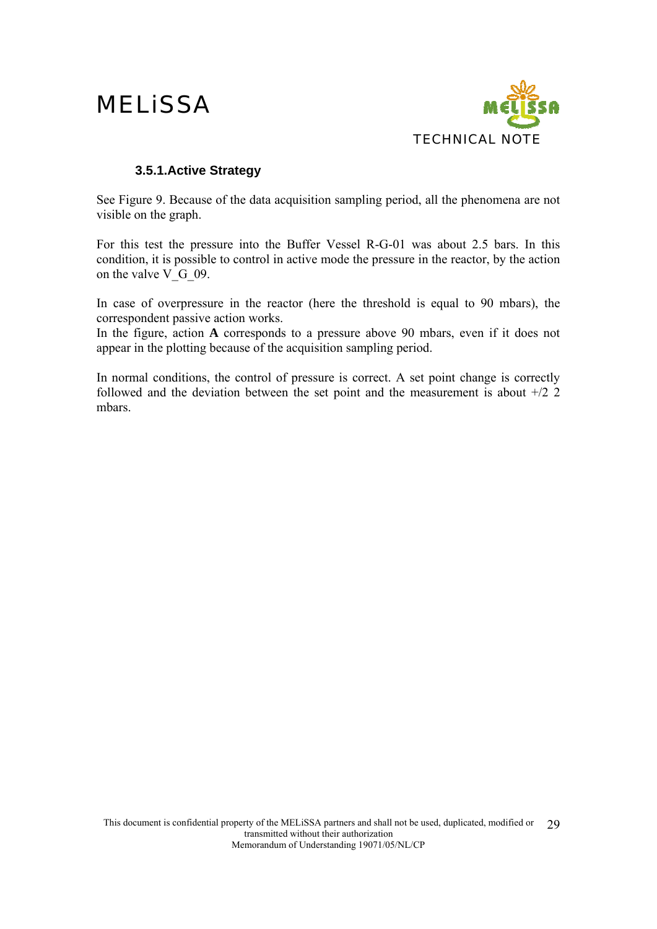

#### **3.5.1.Active Strategy**

See Figure 9. Because of the data acquisition sampling period, all the phenomena are not visible on the graph.

For this test the pressure into the Buffer Vessel R-G-01 was about 2.5 bars. In this condition, it is possible to control in active mode the pressure in the reactor, by the action on the valve  $V$  G 09.

In case of overpressure in the reactor (here the threshold is equal to 90 mbars), the correspondent passive action works.

In the figure, action **A** corresponds to a pressure above 90 mbars, even if it does not appear in the plotting because of the acquisition sampling period.

In normal conditions, the control of pressure is correct. A set point change is correctly followed and the deviation between the set point and the measurement is about +/2 2 mbars.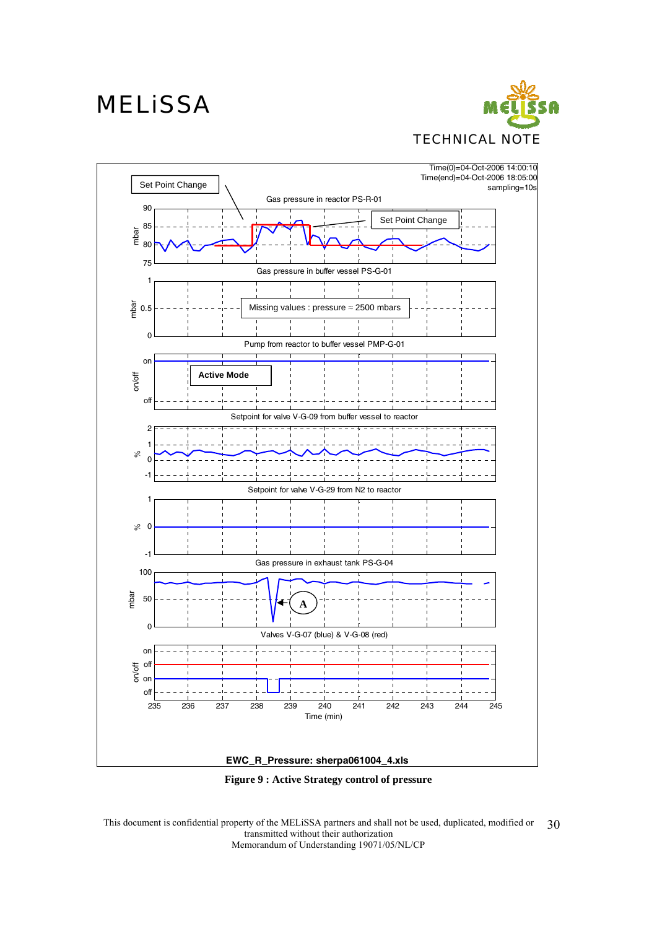## **MELISSA**





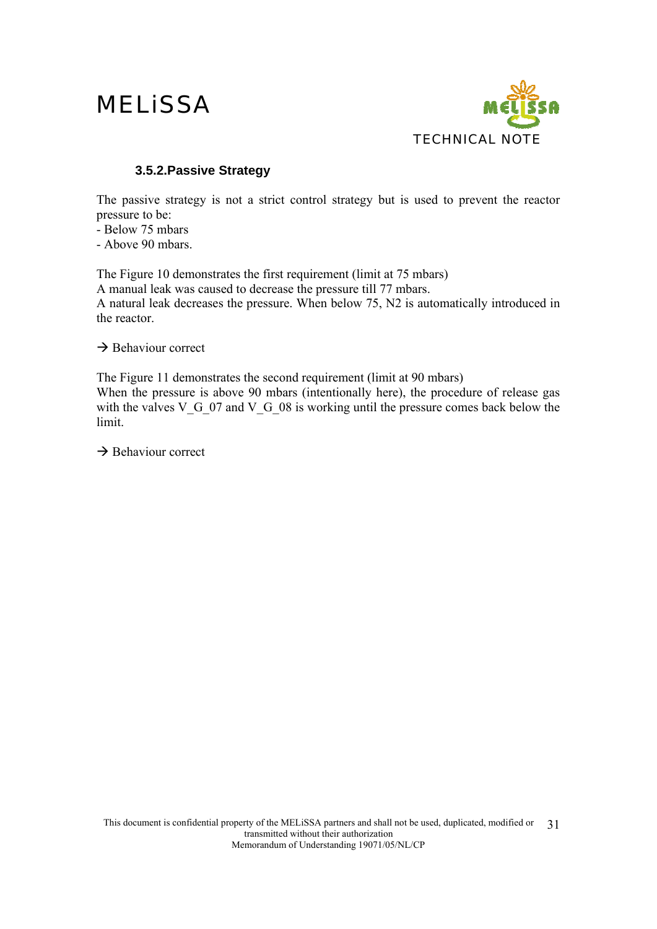

#### **3.5.2.Passive Strategy**

The passive strategy is not a strict control strategy but is used to prevent the reactor pressure to be:

- Below 75 mbars

- Above 90 mbars.

The Figure 10 demonstrates the first requirement (limit at 75 mbars) A manual leak was caused to decrease the pressure till 77 mbars. A natural leak decreases the pressure. When below 75, N2 is automatically introduced in the reactor.

 $\rightarrow$  Behaviour correct

The Figure 11 demonstrates the second requirement (limit at 90 mbars) When the pressure is above 90 mbars (intentionally here), the procedure of release gas with the valves V<sub>G</sub> 07 and V<sub>G</sub> 08 is working until the pressure comes back below the limit.

 $\rightarrow$  Behaviour correct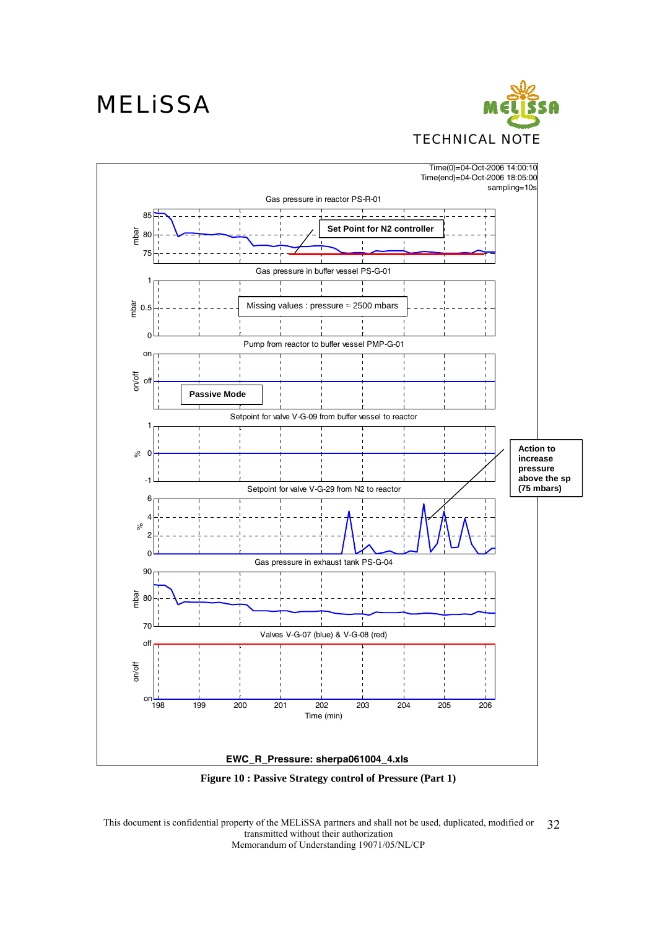



**Figure 10 : Passive Strategy control of Pressure (Part 1)**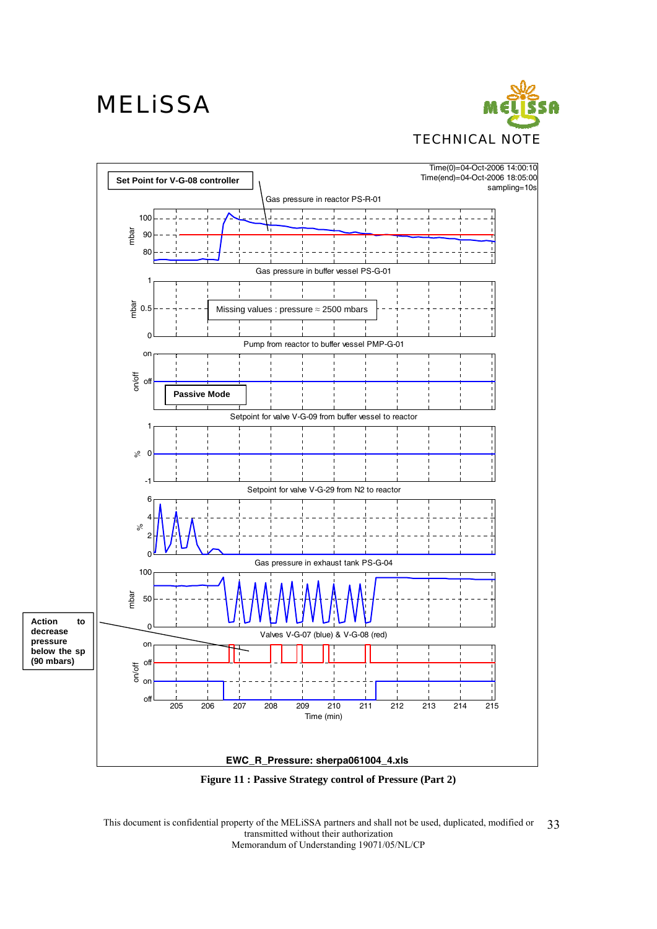



**Figure 11 : Passive Strategy control of Pressure (Part 2)**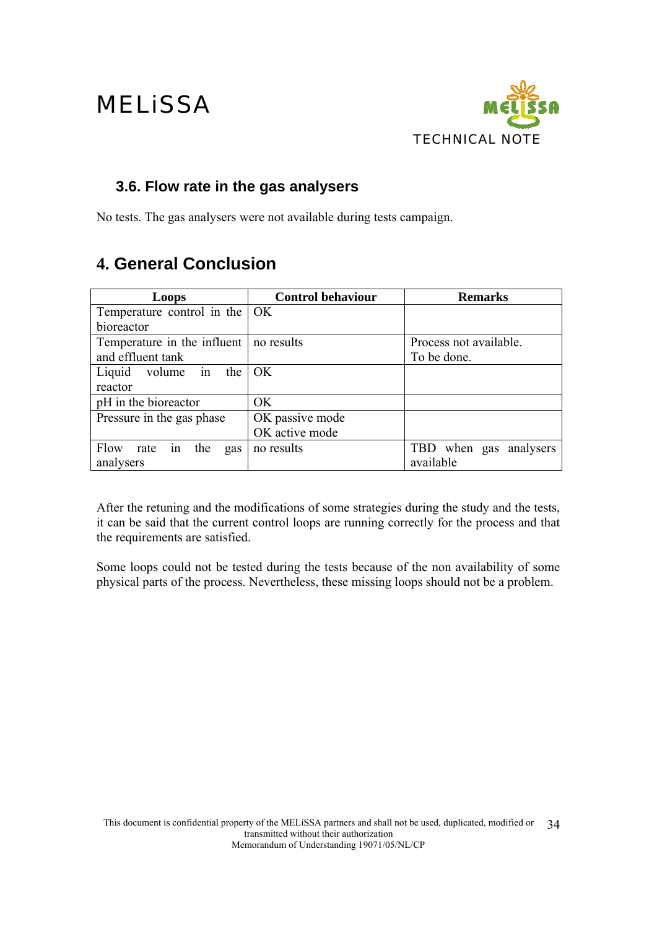

### **3.6. Flow rate in the gas analysers**

No tests. The gas analysers were not available during tests campaign.

### **4. General Conclusion**

| Loops                                    | <b>Control behaviour</b> | <b>Remarks</b>         |
|------------------------------------------|--------------------------|------------------------|
| Temperature control in the $\vert$ OK    |                          |                        |
| bioreactor                               |                          |                        |
| Temperature in the influent   no results |                          | Process not available. |
| and effluent tank                        |                          | To be done.            |
| volume in the<br>Liquid                  | OK                       |                        |
| reactor                                  |                          |                        |
| pH in the bioreactor                     | OK                       |                        |
| Pressure in the gas phase                | OK passive mode          |                        |
|                                          | OK active mode           |                        |
| Flow<br>in<br>the<br>rate<br>gas         | no results               | TBD when gas analysers |
| analysers                                |                          | available              |

After the retuning and the modifications of some strategies during the study and the tests, it can be said that the current control loops are running correctly for the process and that the requirements are satisfied.

Some loops could not be tested during the tests because of the non availability of some physical parts of the process. Nevertheless, these missing loops should not be a problem.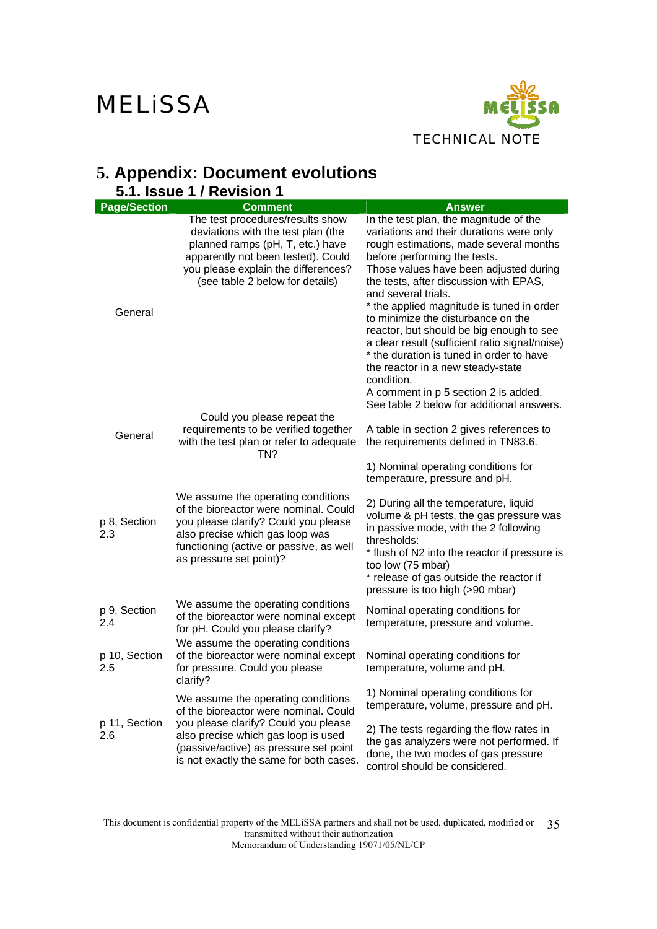

### **5. Appendix: Document evolutions**

| 5.1. Issue 1 / Revision 1 |                                                                                                                                                                                                                                                 |                                                                                                                                                                                                                                                                                                                                                                                                                                                                                                                                                                                                                                              |  |  |
|---------------------------|-------------------------------------------------------------------------------------------------------------------------------------------------------------------------------------------------------------------------------------------------|----------------------------------------------------------------------------------------------------------------------------------------------------------------------------------------------------------------------------------------------------------------------------------------------------------------------------------------------------------------------------------------------------------------------------------------------------------------------------------------------------------------------------------------------------------------------------------------------------------------------------------------------|--|--|
| <b>Page/Section</b>       | <b>Comment</b>                                                                                                                                                                                                                                  | <b>Answer</b>                                                                                                                                                                                                                                                                                                                                                                                                                                                                                                                                                                                                                                |  |  |
| General                   | The test procedures/results show<br>deviations with the test plan (the<br>planned ramps (pH, T, etc.) have<br>apparently not been tested). Could<br>you please explain the differences?<br>(see table 2 below for details)                      | In the test plan, the magnitude of the<br>variations and their durations were only<br>rough estimations, made several months<br>before performing the tests.<br>Those values have been adjusted during<br>the tests, after discussion with EPAS,<br>and several trials.<br>* the applied magnitude is tuned in order<br>to minimize the disturbance on the<br>reactor, but should be big enough to see<br>a clear result (sufficient ratio signal/noise)<br>* the duration is tuned in order to have<br>the reactor in a new steady-state<br>condition.<br>A comment in p 5 section 2 is added.<br>See table 2 below for additional answers. |  |  |
| General                   | Could you please repeat the<br>requirements to be verified together<br>with the test plan or refer to adequate<br>TN?                                                                                                                           | A table in section 2 gives references to<br>the requirements defined in TN83.6.<br>1) Nominal operating conditions for                                                                                                                                                                                                                                                                                                                                                                                                                                                                                                                       |  |  |
| p 8, Section<br>2.3       | We assume the operating conditions<br>of the bioreactor were nominal. Could<br>you please clarify? Could you please<br>also precise which gas loop was<br>functioning (active or passive, as well<br>as pressure set point)?                    | temperature, pressure and pH.<br>2) During all the temperature, liquid<br>volume & pH tests, the gas pressure was<br>in passive mode, with the 2 following<br>thresholds:<br>* flush of N2 into the reactor if pressure is<br>too low (75 mbar)<br>* release of gas outside the reactor if<br>pressure is too high (>90 mbar)                                                                                                                                                                                                                                                                                                                |  |  |
| p 9, Section<br>2.4       | We assume the operating conditions<br>of the bioreactor were nominal except<br>for pH. Could you please clarify?                                                                                                                                | Nominal operating conditions for<br>temperature, pressure and volume.                                                                                                                                                                                                                                                                                                                                                                                                                                                                                                                                                                        |  |  |
| p 10, Section<br>2.5      | We assume the operating conditions<br>of the bioreactor were nominal except<br>for pressure. Could you please<br>clarify?                                                                                                                       | Nominal operating conditions for<br>temperature, volume and pH.                                                                                                                                                                                                                                                                                                                                                                                                                                                                                                                                                                              |  |  |
| p 11, Section<br>2.6      | We assume the operating conditions<br>of the bioreactor were nominal. Could<br>you please clarify? Could you please<br>also precise which gas loop is used<br>(passive/active) as pressure set point<br>is not exactly the same for both cases. | 1) Nominal operating conditions for<br>temperature, volume, pressure and pH.<br>2) The tests regarding the flow rates in<br>the gas analyzers were not performed. If<br>done, the two modes of gas pressure<br>control should be considered.                                                                                                                                                                                                                                                                                                                                                                                                 |  |  |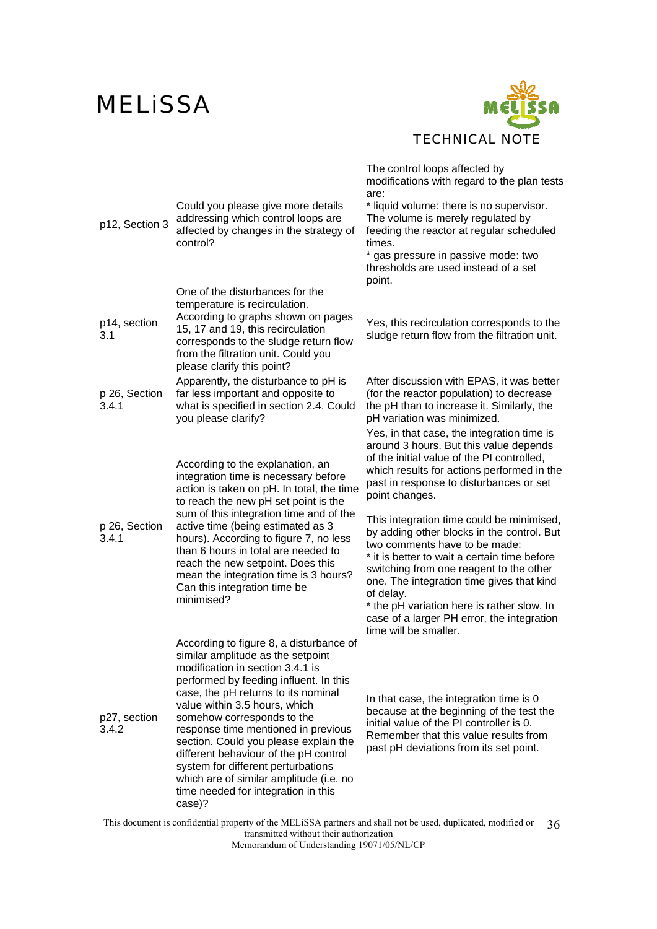

| p12, Section 3         | Could you please give more details<br>addressing which control loops are<br>affected by changes in the strategy of<br>control?                                                                                                                                                                                                                                                                                                                                                                                              | The control loops affected by<br>modifications with regard to the plan tests<br>are:<br>* liquid volume: there is no supervisor.<br>The volume is merely regulated by<br>feeding the reactor at regular scheduled<br>times.<br>* gas pressure in passive mode: two<br>thresholds are used instead of a set<br>point.                                                                                                                                                                                                           |
|------------------------|-----------------------------------------------------------------------------------------------------------------------------------------------------------------------------------------------------------------------------------------------------------------------------------------------------------------------------------------------------------------------------------------------------------------------------------------------------------------------------------------------------------------------------|--------------------------------------------------------------------------------------------------------------------------------------------------------------------------------------------------------------------------------------------------------------------------------------------------------------------------------------------------------------------------------------------------------------------------------------------------------------------------------------------------------------------------------|
| p14, section<br>3.1    | One of the disturbances for the<br>temperature is recirculation.<br>According to graphs shown on pages<br>15, 17 and 19, this recirculation<br>corresponds to the sludge return flow<br>from the filtration unit. Could you<br>please clarify this point?                                                                                                                                                                                                                                                                   | Yes, this recirculation corresponds to the<br>sludge return flow from the filtration unit.                                                                                                                                                                                                                                                                                                                                                                                                                                     |
| p 26, Section<br>3.4.1 | Apparently, the disturbance to pH is<br>far less important and opposite to<br>what is specified in section 2.4. Could<br>you please clarify?                                                                                                                                                                                                                                                                                                                                                                                | After discussion with EPAS, it was better<br>(for the reactor population) to decrease<br>the pH than to increase it. Similarly, the<br>pH variation was minimized.                                                                                                                                                                                                                                                                                                                                                             |
| p 26, Section<br>3.4.1 | According to the explanation, an<br>integration time is necessary before<br>action is taken on pH. In total, the time<br>to reach the new pH set point is the<br>sum of this integration time and of the<br>active time (being estimated as 3<br>hours). According to figure 7, no less<br>than 6 hours in total are needed to<br>reach the new setpoint. Does this<br>mean the integration time is 3 hours?<br>Can this integration time be                                                                                | Yes, in that case, the integration time is<br>around 3 hours. But this value depends<br>of the initial value of the PI controlled,<br>which results for actions performed in the<br>past in response to disturbances or set<br>point changes.<br>This integration time could be minimised,<br>by adding other blocks in the control. But<br>two comments have to be made:<br>* it is better to wait a certain time before<br>switching from one reagent to the other<br>one. The integration time gives that kind<br>of delay. |
|                        | minimised?                                                                                                                                                                                                                                                                                                                                                                                                                                                                                                                  | * the pH variation here is rather slow. In<br>case of a larger PH error, the integration<br>time will be smaller.                                                                                                                                                                                                                                                                                                                                                                                                              |
| p27, section<br>3.4.2  | According to figure 8, a disturbance of<br>similar amplitude as the setpoint<br>modification in section 3.4.1 is<br>performed by feeding influent. In this<br>case, the pH returns to its nominal<br>value within 3.5 hours, which<br>somehow corresponds to the<br>response time mentioned in previous<br>section. Could you please explain the<br>different behaviour of the pH control<br>system for different perturbations<br>which are of similar amplitude (i.e. no<br>time needed for integration in this<br>case)? | In that case, the integration time is 0<br>because at the beginning of the test the<br>initial value of the PI controller is 0.<br>Remember that this value results from<br>past pH deviations from its set point.                                                                                                                                                                                                                                                                                                             |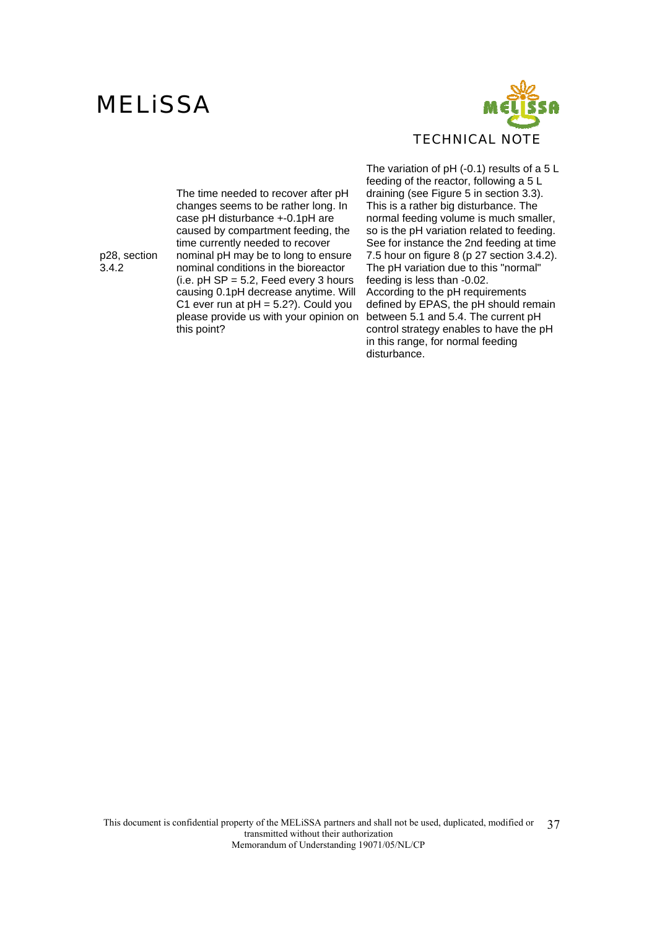

The time needed to recover after pH changes seems to be rather long. In case pH disturbance +-0.1pH are caused by compartment feeding, the time currently needed to recover nominal pH may be to long to ensure nominal conditions in the bioreactor (i.e.  $pH$  SP = 5.2, Feed every 3 hours causing 0.1pH decrease anytime. Will C1 ever run at  $pH = 5.2$ ?). Could you please provide us with your opinion on this point?

The variation of pH (-0.1) results of a 5 L feeding of the reactor, following a 5 L draining (see Figure 5 in section 3.3). This is a rather big disturbance. The normal feeding volume is much smaller, so is the pH variation related to feeding. See for instance the 2nd feeding at time 7.5 hour on figure 8 (p 27 section 3.4.2). The pH variation due to this "normal" feeding is less than -0.02. According to the pH requirements defined by EPAS, the pH should remain between 5.1 and 5.4. The current pH control strategy enables to have the pH in this range, for normal feeding disturbance.

p28, section 3.4.2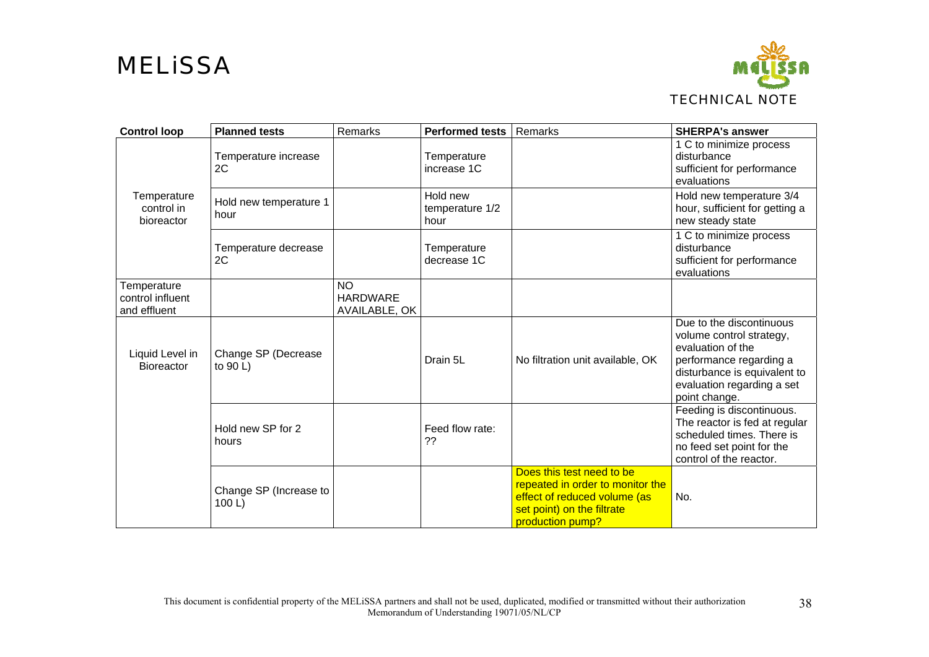

| <b>Control loop</b>                             | <b>Planned tests</b>               | Remarks                                       | <b>Performed tests</b>              | Remarks                                                                                                                                         | <b>SHERPA's answer</b>                                                                                                                                                              |
|-------------------------------------------------|------------------------------------|-----------------------------------------------|-------------------------------------|-------------------------------------------------------------------------------------------------------------------------------------------------|-------------------------------------------------------------------------------------------------------------------------------------------------------------------------------------|
|                                                 | Temperature increase<br>2C         |                                               | Temperature<br>increase 1C          |                                                                                                                                                 | 1 C to minimize process<br>disturbance<br>sufficient for performance<br>evaluations                                                                                                 |
| Temperature<br>control in<br>bioreactor         | Hold new temperature 1<br>hour     |                                               | Hold new<br>temperature 1/2<br>hour |                                                                                                                                                 | Hold new temperature 3/4<br>hour, sufficient for getting a<br>new steady state                                                                                                      |
|                                                 | Temperature decrease<br>2C         |                                               | Temperature<br>decrease 1C          |                                                                                                                                                 | 1 C to minimize process<br>disturbance<br>sufficient for performance<br>evaluations                                                                                                 |
| Temperature<br>control influent<br>and effluent |                                    | <b>NO</b><br><b>HARDWARE</b><br>AVAILABLE, OK |                                     |                                                                                                                                                 |                                                                                                                                                                                     |
| Liquid Level in<br>Bioreactor                   | Change SP (Decrease<br>to $90 L$ ) |                                               | Drain 5L                            | No filtration unit available, OK                                                                                                                | Due to the discontinuous<br>volume control strategy,<br>evaluation of the<br>performance regarding a<br>disturbance is equivalent to<br>evaluation regarding a set<br>point change. |
|                                                 | Hold new SP for 2<br>hours         |                                               | Feed flow rate:<br>??               |                                                                                                                                                 | Feeding is discontinuous.<br>The reactor is fed at regular<br>scheduled times. There is<br>no feed set point for the<br>control of the reactor.                                     |
|                                                 | Change SP (Increase to<br>100 L    |                                               |                                     | Does this test need to be<br>repeated in order to monitor the<br>effect of reduced volume (as<br>set point) on the filtrate<br>production pump? | No.                                                                                                                                                                                 |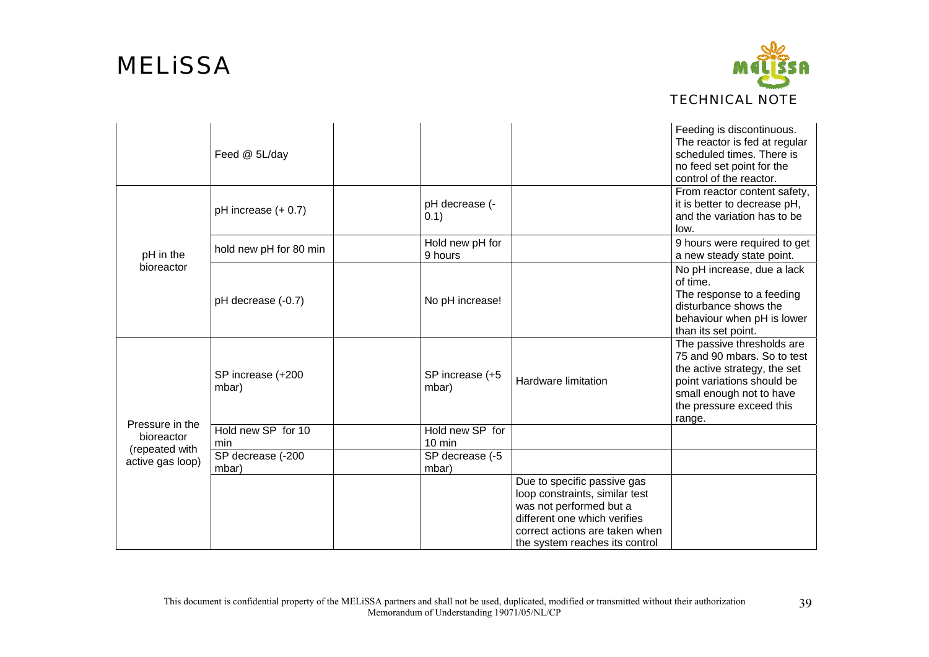

|                                                                     | Feed @ 5L/day              |                            |                                                                                                                                                                                              | Feeding is discontinuous.<br>The reactor is fed at regular<br>scheduled times. There is<br>no feed set point for the<br>control of the reactor.                                           |
|---------------------------------------------------------------------|----------------------------|----------------------------|----------------------------------------------------------------------------------------------------------------------------------------------------------------------------------------------|-------------------------------------------------------------------------------------------------------------------------------------------------------------------------------------------|
| pH in the<br>bioreactor                                             | pH increase (+ 0.7)        | pH decrease (-<br>(0.1)    |                                                                                                                                                                                              | From reactor content safety,<br>it is better to decrease pH,<br>and the variation has to be<br>low.                                                                                       |
|                                                                     | hold new pH for 80 min     | Hold new pH for<br>9 hours |                                                                                                                                                                                              | 9 hours were required to get<br>a new steady state point.                                                                                                                                 |
|                                                                     | pH decrease (-0.7)         | No pH increase!            |                                                                                                                                                                                              | No pH increase, due a lack<br>of time.<br>The response to a feeding<br>disturbance shows the<br>behaviour when pH is lower<br>than its set point.                                         |
| Pressure in the<br>bioreactor<br>(repeated with<br>active gas loop) | SP increase (+200<br>mbar) | SP increase (+5<br>mbar)   | Hardware limitation                                                                                                                                                                          | The passive thresholds are<br>75 and 90 mbars. So to test<br>the active strategy, the set<br>point variations should be<br>small enough not to have<br>the pressure exceed this<br>range. |
|                                                                     | Hold new SP for 10<br>min  | Hold new SP for<br>10 min  |                                                                                                                                                                                              |                                                                                                                                                                                           |
|                                                                     | SP decrease (-200<br>mbar) | SP decrease (-5<br>mbar)   |                                                                                                                                                                                              |                                                                                                                                                                                           |
|                                                                     |                            |                            | Due to specific passive gas<br>loop constraints, similar test<br>was not performed but a<br>different one which verifies<br>correct actions are taken when<br>the system reaches its control |                                                                                                                                                                                           |